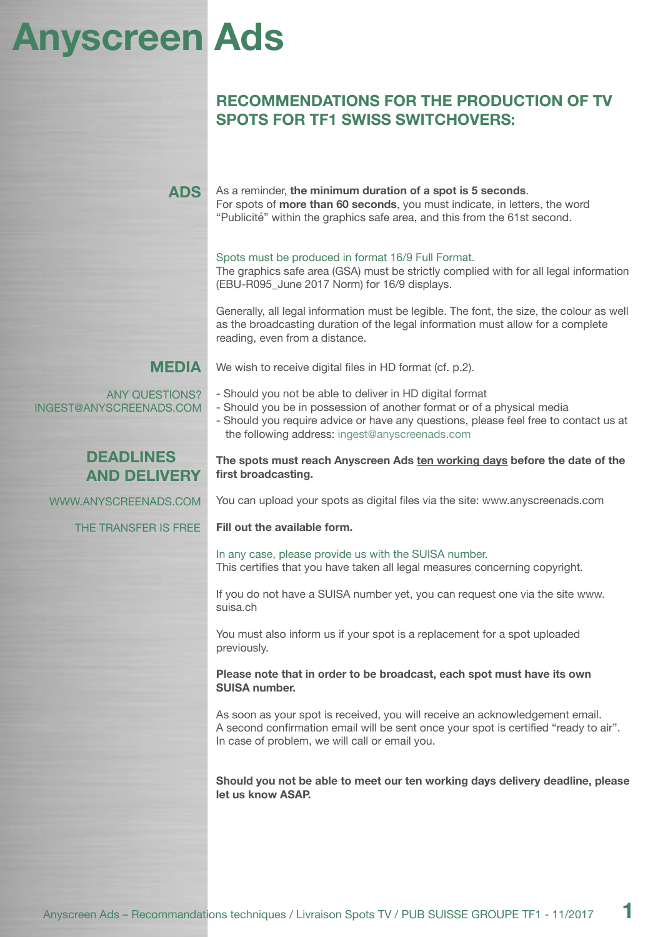## **Anyscreen Ads**

### **RECOMMENDATIONS FOR THE PRODUCTION OF TV SPOTS FOR TF1 SWISS SWITCHOVERS:**

| <b>ADS</b>                                       | As a reminder, the minimum duration of a spot is 5 seconds.<br>For spots of more than 60 seconds, you must indicate, in letters, the word<br>"Publicité" within the graphics safe area, and this from the 61st second.                                                       |
|--------------------------------------------------|------------------------------------------------------------------------------------------------------------------------------------------------------------------------------------------------------------------------------------------------------------------------------|
|                                                  | Spots must be produced in format 16/9 Full Format.<br>The graphics safe area (GSA) must be strictly complied with for all legal information<br>(EBU-R095_June 2017 Norm) for 16/9 displays.                                                                                  |
|                                                  | Generally, all legal information must be legible. The font, the size, the colour as well<br>as the broadcasting duration of the legal information must allow for a complete<br>reading, even from a distance.                                                                |
| MEDIA                                            | We wish to receive digital files in HD format (cf. p.2).                                                                                                                                                                                                                     |
| <b>ANY QUESTIONS?</b><br>INGEST@ANYSCREENADS.COM | - Should you not be able to deliver in HD digital format<br>- Should you be in possession of another format or of a physical media<br>- Should you require advice or have any questions, please feel free to contact us at<br>the following address: ingest@anyscreenads.com |
| <b>DEADLINES</b><br><b>AND DELIVERY</b>          | The spots must reach Anyscreen Ads ten working days before the date of the<br>first broadcasting.                                                                                                                                                                            |
| WWW.ANYSCREENADS.COM                             | You can upload your spots as digital files via the site: www.anyscreenads.com                                                                                                                                                                                                |
| THE TRANSFER IS FREE                             | Fill out the available form.                                                                                                                                                                                                                                                 |
|                                                  | In any case, please provide us with the SUISA number.<br>This certifies that you have taken all legal measures concerning copyright.                                                                                                                                         |
|                                                  | If you do not have a SUISA number yet, you can request one via the site www.<br>suisa.ch                                                                                                                                                                                     |
|                                                  | You must also inform us if your spot is a replacement for a spot uploaded<br>previously.                                                                                                                                                                                     |
|                                                  | Please note that in order to be broadcast, each spot must have its own<br><b>SUISA number.</b>                                                                                                                                                                               |
|                                                  | As soon as your spot is received, you will receive an acknowledgement email.<br>A second confirmation email will be sent once your spot is certified "ready to air".<br>In case of problem, we will call or email you.                                                       |
|                                                  | Should you not be able to meet our ten working days delivery deadline, please<br>let us know ASAP.                                                                                                                                                                           |
|                                                  |                                                                                                                                                                                                                                                                              |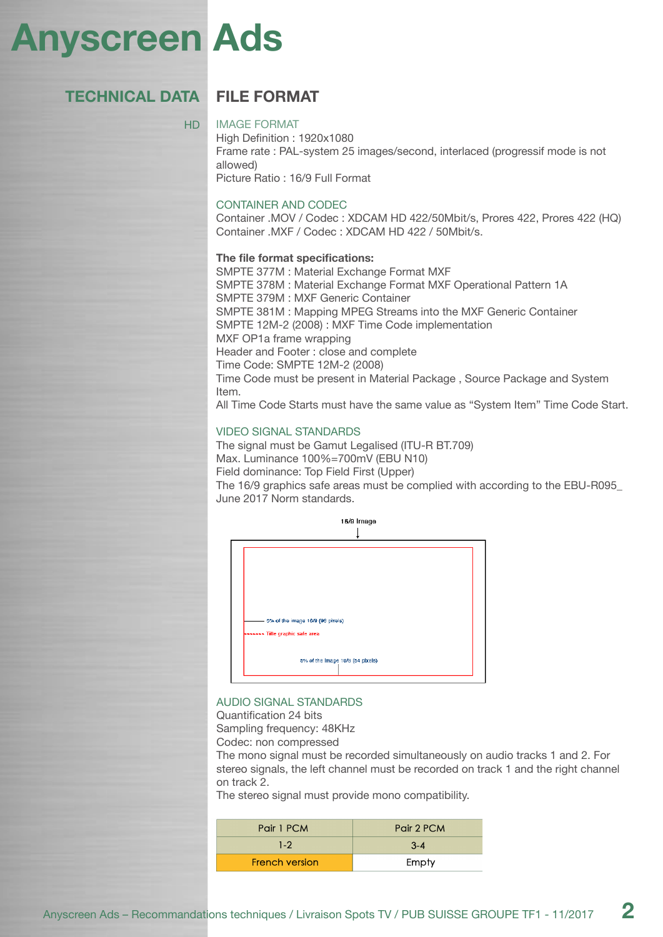## **Anyscreen Ads**

#### **FILE FORMAT TECHNICAL DATA**

#### HD

IMAGE FORMAT

High Definition : 1920x1080 Frame rate : PAL-system 25 images/second, interlaced (progressif mode is not allowed) Picture Ratio : 16/9 Full Format

#### CONTAINER AND CODEC

Container .MOV / Codec : XDCAM HD 422/50Mbit/s, Prores 422, Prores 422 (HQ) Container .MXF / Codec : XDCAM HD 422 / 50Mbit/s.

#### **The file format specifications:**

SMPTE 377M : Material Exchange Format MXF SMPTE 378M : Material Exchange Format MXF Operational Pattern 1A SMPTE 379M : MXF Generic Container SMPTE 381M : Mapping MPEG Streams into the MXF Generic Container SMPTE 12M-2 (2008) : MXF Time Code implementation MXF OP1a frame wrapping Header and Footer : close and complete Time Code: SMPTE 12M-2 (2008) Time Code must be present in Material Package , Source Package and System Item. All Time Code Starts must have the same value as "System Item" Time Code Start.

#### VIDEO SIGNAL STANDARDS

The signal must be Gamut Legalised (ITU-R BT.709) Max. Luminance 100%=700mV (EBU N10) Field dominance: Top Field First (Upper) The 16/9 graphics safe areas must be complied with according to the EBU-R095\_ June 2017 Norm standards.



#### AUDIO SIGNAL STANDARDS

Quantification 24 bits

Sampling frequency: 48KHz

Codec: non compressed

The mono signal must be recorded simultaneously on audio tracks 1 and 2. For stereo signals, the left channel must be recorded on track 1 and the right channel on track 2.

The stereo signal must provide mono compatibility.

| Pair 1 PCM            | Pair 2 PCM |
|-----------------------|------------|
| $1 - 2$               | $3 - 4$    |
| <b>French version</b> | Empty      |